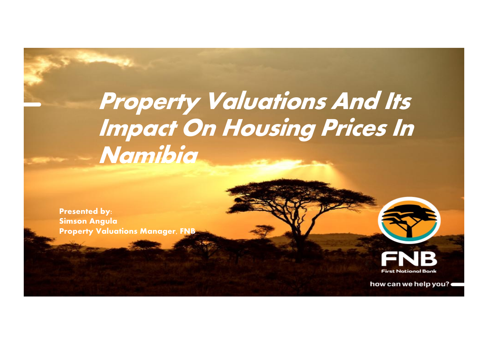# **Property Valuations And Its Impact On Housing Prices In Namibia**

**Presented by: Simson Angula Property Valuations Manager, FNB**



how can we help you?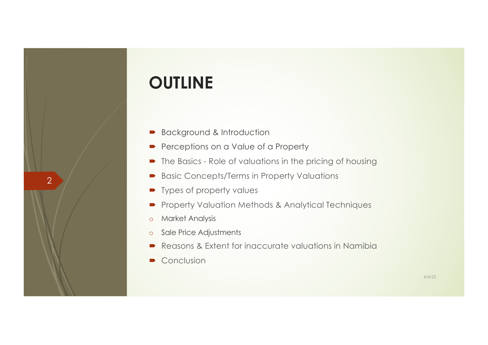## **OUTLINE**

- Background & Introduction
- Perceptions on a Value of a Property
- $\blacksquare$  The Basics Role of valuations in the pricing of housing
- Basic Concepts/Terms in Property Valuations
- $\blacktriangleright$  Types of property values
- **•** Property Valuation Methods & Analytical Techniques
- o Market Analysis

- o Sale Price Adjustments
- Reasons & Extent for inaccurate valuations in Namibia
- $\bullet$  Conclusion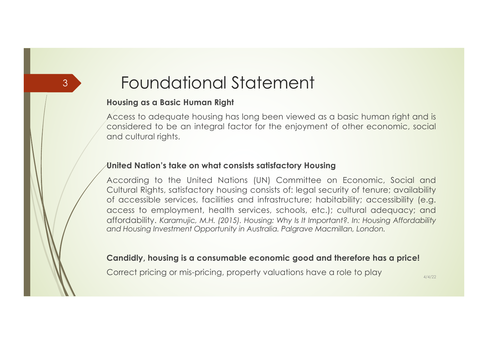## Foundational Statement

#### **Housing as a Basic Human Right**

3

Access to adequate housing has long been viewed as a basic human right and is considered to be an integral factor for the enjoyment of other economic, social and cultural rights.

#### **United Nation's take on what consists satisfactory Housing**

According to the United Nations (UN) Committee on Economic, Social and Cultural Rights, satisfactory housing consists of: legal security of tenure; availability of accessible services, facilities and infrastructure; habitability; accessibility (e.g. access to employment, health services, schools, etc.); cultural adequacy; and affordability. *Karamujic, M.H. (2015). Housing: Why Is It Important?. In: Housing Affordability and Housing Investment Opportunity in Australia. Palgrave Macmillan, London.*

#### **Candidly, housing is a consumable economic good and therefore has a price!**

Correct pricing or mis-pricing, property valuations have a role to play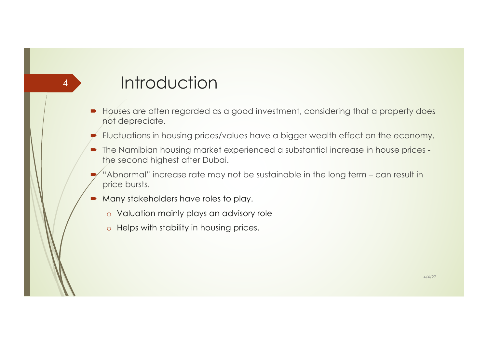## **Introduction**

4

- ´ Houses are often regarded as a good investment, considering that a property does not depreciate.
- Fluctuations in housing prices/values have a bigger wealth effect on the economy.
- The Namibian housing market experienced a substantial increase in house prices the second highest after Dubai.
- "Abnormal" increase rate may not be sustainable in the long term can result in price bursts.
- Many stakeholders have roles to play.
	- o Valuation mainly plays an advisory role
	- o Helps with stability in housing prices.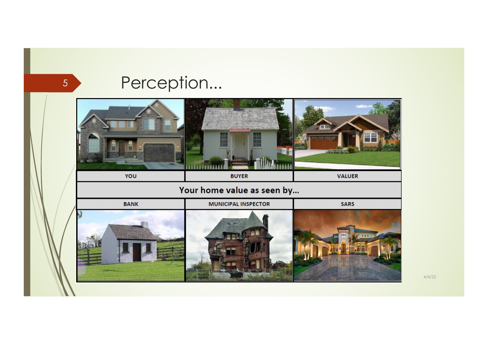## Perception...

5

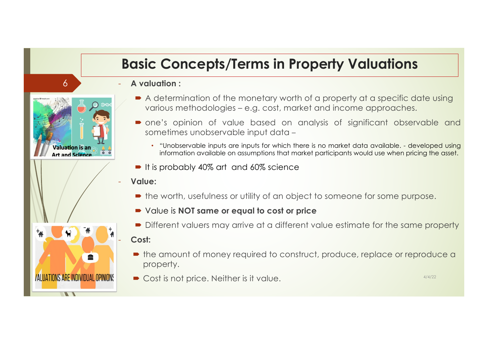### **Basic Concepts/Terms in Property Valuations**

- **A valuation :**

6

**Valuation is an** Art and Science

**/ALUATIONS ARE INDIVIDUAL OPINIONS** 

- $\blacktriangleright$  A determination of the monetary worth of a property at a specific date using various methodologies – e.g. cost, market and income approaches.
- one's opinion of value based on analysis of significant observable and sometimes unobservable input data –
	- "Unobservable inputs are inputs for which there is no market data available. developed using information available on assumptions that market participants would use when pricing the asset.
- $\blacksquare$  It is probably 40% art and 60% science
- **Value:**
	- the worth, usefulness or utility of an object to someone for some purpose.
	- Value is **NOT same or equal to cost or price**
	- Different valuers may arrive at a different value estimate for the same property

### - **Cost:**

- the amount of money required to construct, produce, replace or reproduce a property.
- $\bullet$  Cost is not price. Neither is it value.  $4/4/22$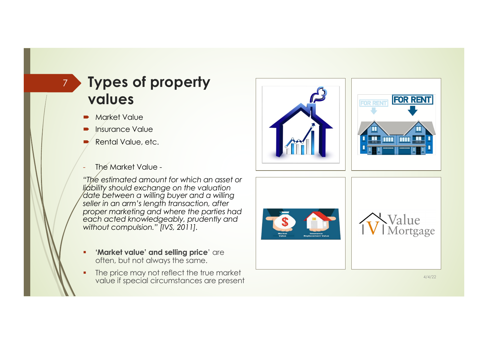### **Types of property values**

Market Value

7

- Insurance Value
- Rental Value, etc.
- The Market Value -

*"The estimated amount for which an asset or liability should exchange on the valuation date between a willing buyer and a willing seller in an arm's length transaction, after proper marketing and where the parties had each acted knowledgeably, prudently and without compulsion." [IVS, 2011].*

- **EXECUTE: 'Market value' and selling price' are** often, but not always the same.
- The price may not reflect the true market value if special circumstances are present and the contract of the contract of the contract of the contract of  $\frac{4}{4/4/22}$





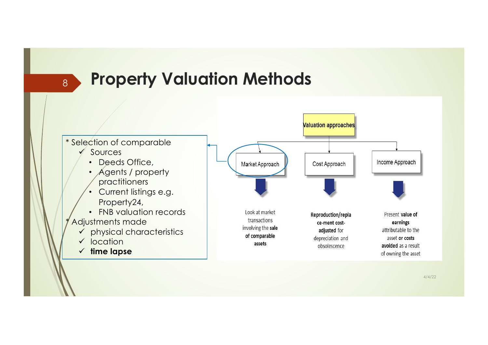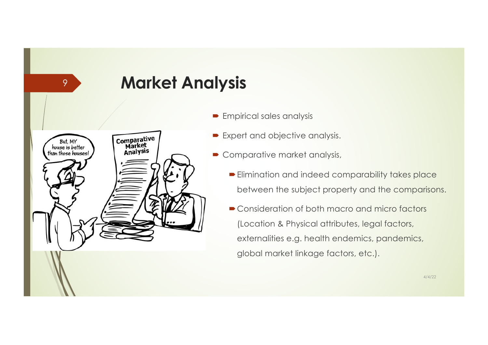## **Market Analysis**

Comparative<br>Market But, MY<br>house is better Analysis than those houses!

- $\blacktriangleright$  Empirical sales analysis
- Expert and objective analysis.
- Comparative market analysis,
	- $\blacktriangleright$  Elimination and indeed comparability takes place between the subject property and the comparisons.
	- Consideration of both macro and micro factors (Location & Physical attributes, legal factors, externalities e.g. health endemics, pandemics, global market linkage factors, etc.).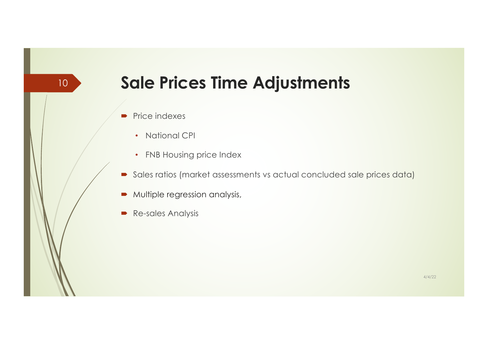## **Sale Prices Time Adjustments**

 $\blacksquare$  Price indexes

- National CPI
- FNB Housing price Index
- $\blacksquare$  Sales ratios (market assessments vs actual concluded sale prices data)
- $\blacktriangleright$  Multiple regression analysis,
- Re-sales Analysis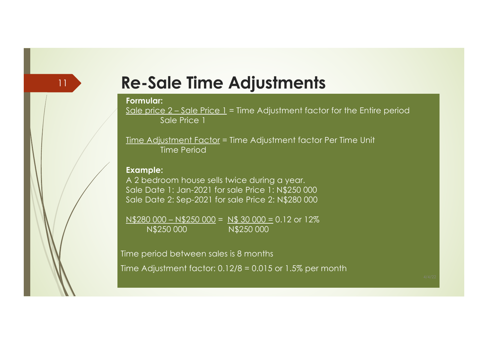### **Re-Sale Time Adjustments**

#### **Formular:**

11

Sale price  $2$  – Sale Price 1 = Time Adjustment factor for the Entire period Sale Price 1

Time Adjustment Factor = Time Adjustment factor Per Time Unit Time Period

#### **Example:**

A 2 bedroom house sells twice during a year. Sale Date 1: Jan-2021 for sale Price 1: N\$250 000 Sale Date 2: Sep-2021 for sale Price 2: N\$280 000

 $N$280 000 - N$250 000 = N$ 30 000 = 0.12$  or 12% N\$250 000 N\$250 000

Time period between sales is 8 months

Time Adjustment factor: 0.12/8 = 0.015 or 1.5% per month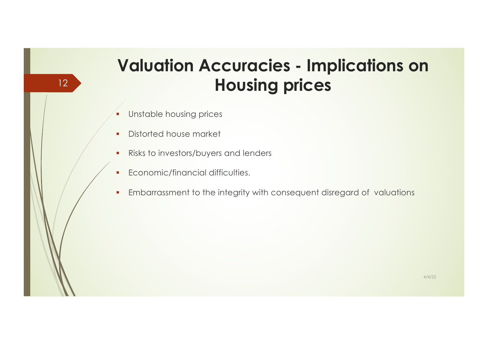## **Valuation Accuracies - Implications on Housing prices**

**•** Unstable housing prices

- **•** Distorted house market
- **•** Risks to investors/buyers and lenders
- Economic/financial difficulties.
- **Embarrassment to the integrity with consequent disregard of valuations**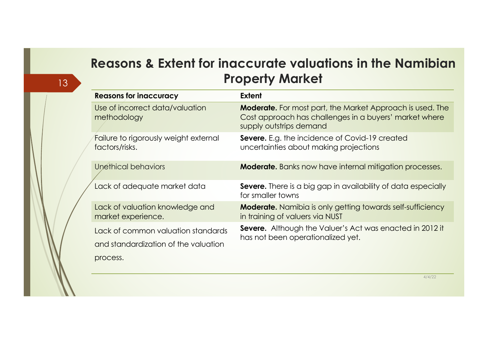### **Reasons & Extent for inaccurate valuations in the Namibian Property Market**

13

|  | <b>Reasons for inaccuracy</b>                                              | Extent                                                                                                                                                |
|--|----------------------------------------------------------------------------|-------------------------------------------------------------------------------------------------------------------------------------------------------|
|  | Use of incorrect data/valuation<br>methodology                             | <b>Moderate.</b> For most part, the Market Approach is used. The<br>Cost approach has challenges in a buyers' market where<br>supply outstrips demand |
|  | Failure to rigorously weight external<br>factors/risks.                    | Severe. E.g. the incidence of Covid-19 created<br>uncertainties about making projections                                                              |
|  | Unethical behaviors                                                        | <b>Moderate.</b> Banks now have internal mitigation processes.                                                                                        |
|  | Lack of adequate market data                                               | <b>Severe.</b> There is a big gap in availability of data especially<br>for smaller towns                                                             |
|  | Lack of valuation knowledge and<br>market experience.                      | <b>Moderate.</b> Namibia is only getting towards self-sufficiency<br>in training of valuers via NUST                                                  |
|  | Lack of common valuation standards<br>and standardization of the valuation | <b>Severe.</b> Although the Valuer's Act was enacted in 2012 it<br>has not been operationalized yet.                                                  |
|  | process.                                                                   |                                                                                                                                                       |